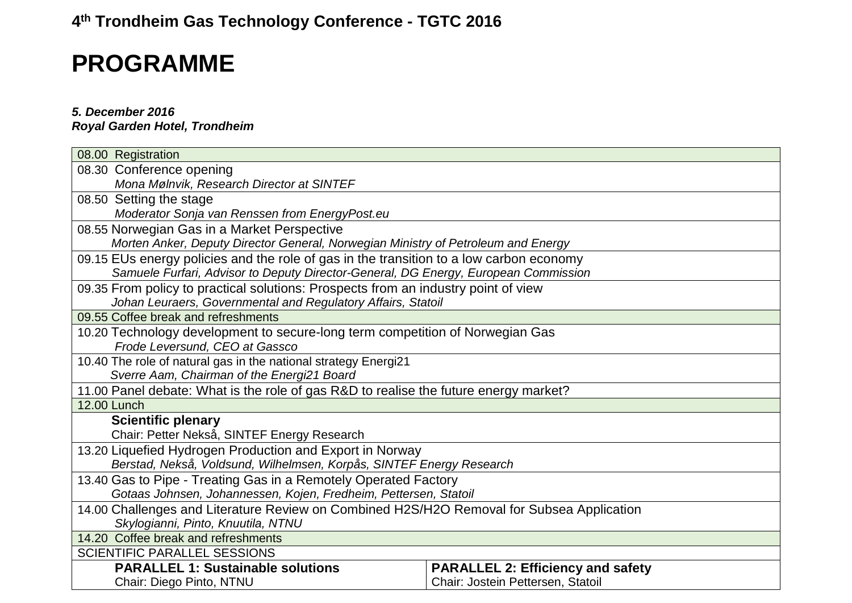## **4th Trondheim Gas Technology Conference - TGTC 2016**

## **PROGRAMME**

## *5. December 2016*

*Royal Garden Hotel, Trondheim*

| 08.00 Registration                                                                        |                                          |  |
|-------------------------------------------------------------------------------------------|------------------------------------------|--|
| 08.30 Conference opening                                                                  |                                          |  |
| Mona Mølnvik, Research Director at SINTEF                                                 |                                          |  |
| 08.50 Setting the stage                                                                   |                                          |  |
| Moderator Sonja van Renssen from EnergyPost.eu                                            |                                          |  |
| 08.55 Norwegian Gas in a Market Perspective                                               |                                          |  |
| Morten Anker, Deputy Director General, Norwegian Ministry of Petroleum and Energy         |                                          |  |
| 09.15 EUs energy policies and the role of gas in the transition to a low carbon economy   |                                          |  |
| Samuele Furfari, Advisor to Deputy Director-General, DG Energy, European Commission       |                                          |  |
| 09.35 From policy to practical solutions: Prospects from an industry point of view        |                                          |  |
| Johan Leuraers, Governmental and Regulatory Affairs, Statoil                              |                                          |  |
| 09.55 Coffee break and refreshments                                                       |                                          |  |
| 10.20 Technology development to secure-long term competition of Norwegian Gas             |                                          |  |
| Frode Leversund, CEO at Gassco                                                            |                                          |  |
| 10.40 The role of natural gas in the national strategy Energi21                           |                                          |  |
| Sverre Aam, Chairman of the Energi21 Board                                                |                                          |  |
| 11.00 Panel debate: What is the role of gas R&D to realise the future energy market?      |                                          |  |
| <b>12.00 Lunch</b>                                                                        |                                          |  |
| <b>Scientific plenary</b>                                                                 |                                          |  |
| Chair: Petter Nekså, SINTEF Energy Research                                               |                                          |  |
| 13.20 Liquefied Hydrogen Production and Export in Norway                                  |                                          |  |
| Berstad, Nekså, Voldsund, Wilhelmsen, Korpås, SINTEF Energy Research                      |                                          |  |
| 13.40 Gas to Pipe - Treating Gas in a Remotely Operated Factory                           |                                          |  |
| Gotaas Johnsen, Johannessen, Kojen, Fredheim, Pettersen, Statoil                          |                                          |  |
| 14.00 Challenges and Literature Review on Combined H2S/H2O Removal for Subsea Application |                                          |  |
| Skylogianni, Pinto, Knuutila, NTNU                                                        |                                          |  |
| 14.20 Coffee break and refreshments                                                       |                                          |  |
| <b>SCIENTIFIC PARALLEL SESSIONS</b>                                                       |                                          |  |
| <b>PARALLEL 1: Sustainable solutions</b>                                                  | <b>PARALLEL 2: Efficiency and safety</b> |  |
| Chair: Diego Pinto, NTNU                                                                  | Chair: Jostein Pettersen, Statoil        |  |